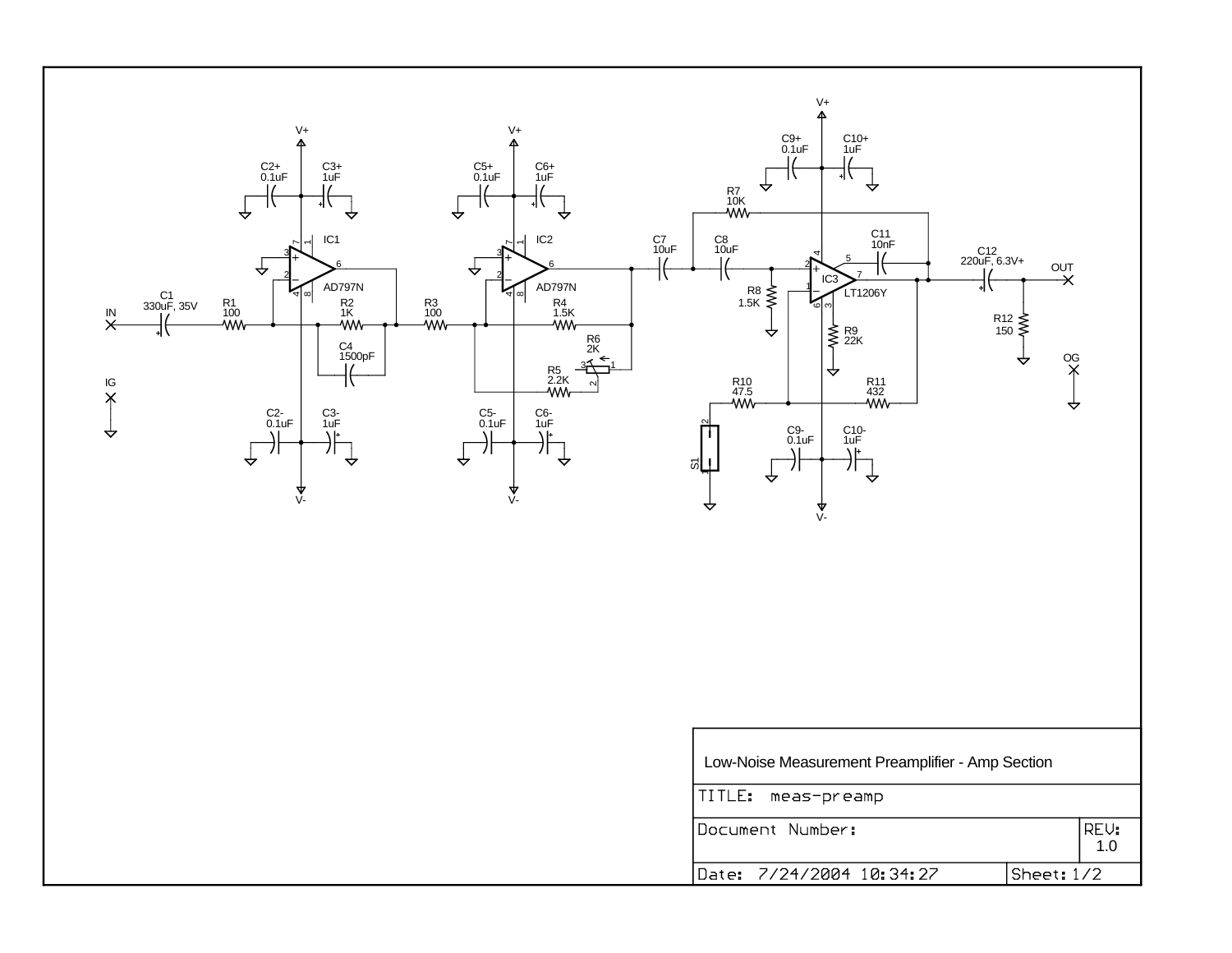